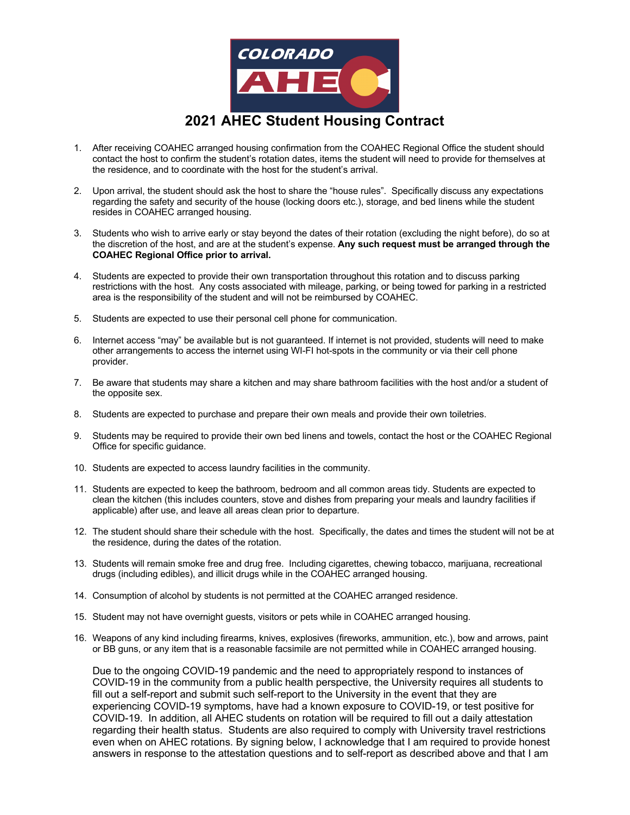

- 1. After receiving COAHEC arranged housing confirmation from the COAHEC Regional Office the student should contact the host to confirm the student's rotation dates, items the student will need to provide for themselves at the residence, and to coordinate with the host for the student's arrival.
- 2. Upon arrival, the student should ask the host to share the "house rules". Specifically discuss any expectations regarding the safety and security of the house (locking doors etc.), storage, and bed linens while the student resides in COAHEC arranged housing.
- 3. Students who wish to arrive early or stay beyond the dates of their rotation (excluding the night before), do so at the discretion of the host, and are at the student's expense. **Any such request must be arranged through the COAHEC Regional Office prior to arrival.**
- 4. Students are expected to provide their own transportation throughout this rotation and to discuss parking restrictions with the host. Any costs associated with mileage, parking, or being towed for parking in a restricted area is the responsibility of the student and will not be reimbursed by COAHEC.
- 5. Students are expected to use their personal cell phone for communication.
- 6. Internet access "may" be available but is not guaranteed. If internet is not provided, students will need to make other arrangements to access the internet using WI-FI hot-spots in the community or via their cell phone provider.
- 7. Be aware that students may share a kitchen and may share bathroom facilities with the host and/or a student of the opposite sex.
- 8. Students are expected to purchase and prepare their own meals and provide their own toiletries.
- 9. Students may be required to provide their own bed linens and towels, contact the host or the COAHEC Regional Office for specific guidance.
- 10. Students are expected to access laundry facilities in the community.
- 11. Students are expected to keep the bathroom, bedroom and all common areas tidy. Students are expected to clean the kitchen (this includes counters, stove and dishes from preparing your meals and laundry facilities if applicable) after use, and leave all areas clean prior to departure.
- 12. The student should share their schedule with the host. Specifically, the dates and times the student will not be at the residence, during the dates of the rotation.
- 13. Students will remain smoke free and drug free. Including cigarettes, chewing tobacco, marijuana, recreational drugs (including edibles), and illicit drugs while in the COAHEC arranged housing.
- 14. Consumption of alcohol by students is not permitted at the COAHEC arranged residence.
- 15. Student may not have overnight guests, visitors or pets while in COAHEC arranged housing.
- 16. Weapons of any kind including firearms, knives, explosives (fireworks, ammunition, etc.), bow and arrows, paint or BB guns, or any item that is a reasonable facsimile are not permitted while in COAHEC arranged housing.

Due to the ongoing COVID-19 pandemic and the need to appropriately respond to instances of COVID-19 in the community from a public health perspective, the University requires all students to fill out a self-report and submit such self-report to the University in the event that they are experiencing COVID-19 symptoms, have had a known exposure to COVID-19, or test positive for COVID-19. In addition, all AHEC students on rotation will be required to fill out a daily attestation regarding their health status. Students are also required to comply with University travel restrictions even when on AHEC rotations. By signing below, I acknowledge that I am required to provide honest answers in response to the attestation questions and to self-report as described above and that I am